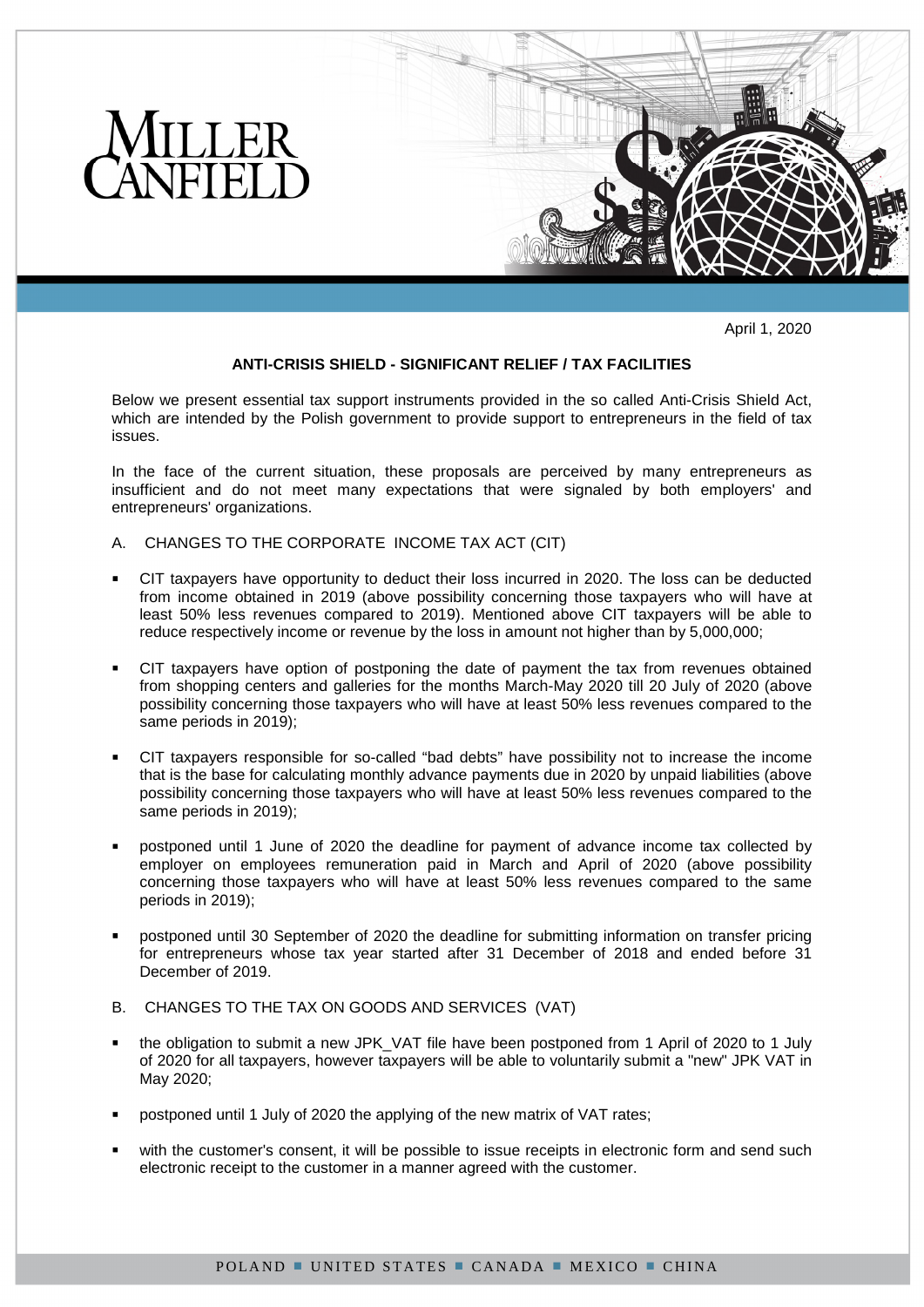

April 1, 2020

## **ANTI-CRISIS SHIELD - SIGNIFICANT RELIEF / TAX FACILITIES**

Below we present essential tax support instruments provided in the so called Anti-Crisis Shield Act, which are intended by the Polish government to provide support to entrepreneurs in the field of tax issues.

In the face of the current situation, these proposals are perceived by many entrepreneurs as insufficient and do not meet many expectations that were signaled by both employers' and entrepreneurs' organizations.

- A. CHANGES TO THE CORPORATE INCOME TAX ACT (CIT)
- CIT taxpayers have opportunity to deduct their loss incurred in 2020. The loss can be deducted from income obtained in 2019 (above possibility concerning those taxpayers who will have at least 50% less revenues compared to 2019). Mentioned above CIT taxpayers will be able to reduce respectively income or revenue by the loss in amount not higher than by 5,000,000;
- CIT taxpayers have option of postponing the date of payment the tax from revenues obtained from shopping centers and galleries for the months March-May 2020 till 20 July of 2020 (above possibility concerning those taxpayers who will have at least 50% less revenues compared to the same periods in 2019);
- CIT taxpayers responsible for so-called "bad debts" have possibility not to increase the income that is the base for calculating monthly advance payments due in 2020 by unpaid liabilities (above possibility concerning those taxpayers who will have at least 50% less revenues compared to the same periods in 2019);
- postponed until 1 June of 2020 the deadline for payment of advance income tax collected by employer on employees remuneration paid in March and April of 2020 (above possibility concerning those taxpayers who will have at least 50% less revenues compared to the same periods in 2019);
- postponed until 30 September of 2020 the deadline for submitting information on transfer pricing for entrepreneurs whose tax year started after 31 December of 2018 and ended before 31 December of 2019.
- B. CHANGES TO THE TAX ON GOODS AND SERVICES (VAT)
- the obligation to submit a new JPK\_VAT file have been postponed from 1 April of 2020 to 1 July of 2020 for all taxpayers, however taxpayers will be able to voluntarily submit a "new" JPK VAT in May 2020;
- postponed until 1 July of 2020 the applying of the new matrix of VAT rates;
- with the customer's consent, it will be possible to issue receipts in electronic form and send such electronic receipt to the customer in a manner agreed with the customer.